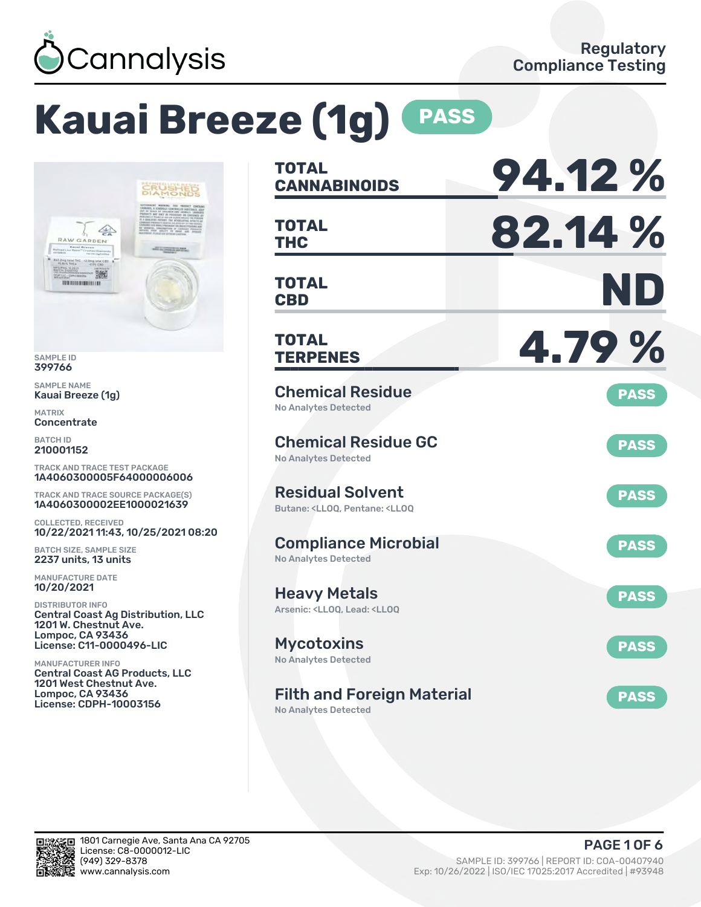

# **Kauai Breeze (1g) PASS**



SAMPLE ID 399766

SAMPLE NAME Kauai Breeze (1g)

MATRIX **Concentrate** 

BATCH ID 210001152

TRACK AND TRACE TEST PACKAGE 1A4060300005F64000006006

TRACK AND TRACE SOURCE PACKAGE(S) 1A4060300002EE1000021639

COLLECTED, RECEIVED 10/22/2021 11:43, 10/25/2021 08:20

BATCH SIZE, SAMPLE SIZE 2237 units, 13 units

MANUFACTURE DATE 10/20/2021

DISTRIBUTOR INFO Central Coast Ag Distribution, LLC 1201 W. Chestnut Ave. Lompoc, CA 93436 License: C11-0000496-LIC

MANUFACTURER INFO Central Coast AG Products, LLC 1201 West Chestnut Ave. Lompoc, CA 93436 License: CDPH-10003156

| <b>TOTAL</b><br><b>CANNABINOIDS</b>                                                                | 94.12%      |
|----------------------------------------------------------------------------------------------------|-------------|
| <b>TOTAL</b><br><b>THC</b>                                                                         | 82.14 %     |
| <b>TOTAL</b><br><b>CBD</b>                                                                         | ND          |
| <b>TOTAL</b><br><b>TERPENES</b>                                                                    | 4.79%       |
| <b>Chemical Residue</b><br><b>No Analytes Detected</b>                                             | <b>PASS</b> |
| <b>Chemical Residue GC</b><br><b>No Analytes Detected</b>                                          | <b>PASS</b> |
| <b>Residual Solvent</b><br>Butane: <ll00. <ll00<="" pentane:="" td=""><td><b>PASS</b></td></ll00.> | <b>PASS</b> |
| <b>Compliance Microbial</b><br><b>No Analytes Detected</b>                                         | <b>PASS</b> |
| <b>Heavy Metals</b><br>Arsenic: <ll00. <ll00<="" lead:="" td=""><td><b>PASS</b></td></ll00.>       | <b>PASS</b> |
| <b>Mycotoxins</b><br>No Analytes Detected                                                          | <b>PASS</b> |
| <b>Filth and Foreign Material</b>                                                                  | <b>PASS</b> |

No Analytes Detected

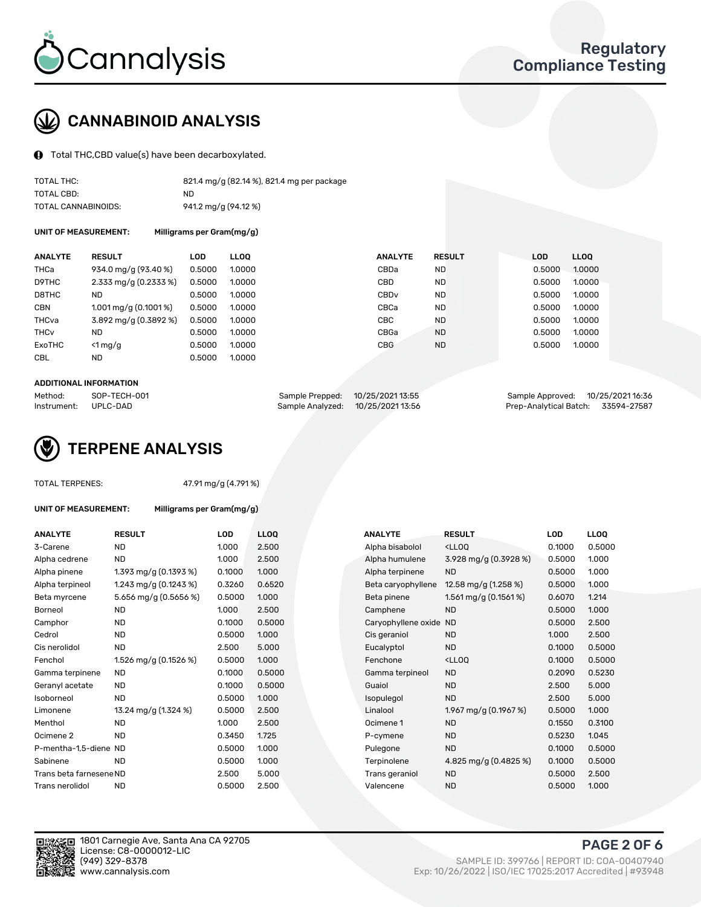

# CANNABINOID ANALYSIS

Total THC,CBD value(s) have been decarboxylated.

| TOTAL THC:          | 821.4 mg/g (82.14 %), 821.4 mg per package |
|---------------------|--------------------------------------------|
| TOTAL CBD:          | ND.                                        |
| TOTAL CANNABINOIDS: | 941.2 mg/g (94.12 %)                       |

UNIT OF MEASUREMENT: Milligrams per Gram(mg/g)

| <b>ANALYTE</b>         | <b>RESULT</b>                      | <b>LOD</b> | <b>LLOO</b> | <b>ANALYTE</b>   | <b>RESULT</b> | <b>LOD</b> | <b>LLOO</b> |
|------------------------|------------------------------------|------------|-------------|------------------|---------------|------------|-------------|
| <b>THCa</b>            | 934.0 mg/g (93.40 %)               | 0.5000     | 1.0000      | CBDa             | ND.           | 0.5000     | 1.0000      |
| D9THC                  | 2.333 mg/g $(0.2333\%)$            | 0.5000     | 1.0000      | CBD              | <b>ND</b>     | 0.5000     | 1.0000      |
| D8THC                  | <b>ND</b>                          | 0.5000     | 1.0000      | CBD <sub>v</sub> | <b>ND</b>     | 0.5000     | 1.0000      |
| <b>CBN</b>             | $1.001 \,\mathrm{mq/q}$ (0.1001 %) | 0.5000     | 1.0000      | CBCa             | <b>ND</b>     | 0.5000     | 1.0000      |
| THCva                  | 3.892 mg/g (0.3892 %)              | 0.5000     | 1.0000      | <b>CBC</b>       | <b>ND</b>     | 0.5000     | 1.0000      |
| <b>THC<sub>v</sub></b> | ND                                 | 0.5000     | 1.0000      | CBGa             | <b>ND</b>     | 0.5000     | 1.0000      |
| ExoTHC                 | $<$ 1 mg/g                         | 0.5000     | 1.0000      | <b>CBG</b>       | <b>ND</b>     | 0.5000     | 1.0000      |
| <b>CBL</b>             | <b>ND</b>                          | 0.5000     | 1.0000      |                  |               |            |             |

#### ADDITIONAL INFORMATION

| Method:     | SOP-TECH-001 | Sample Prepped: 10/25/2021 13:55 | Sample Approved: 10/25/2021 16:36  |  |
|-------------|--------------|----------------------------------|------------------------------------|--|
| Instrument: | UPLC-DAD     | Sample Analyzed: 10/25/202113:56 | Prep-Analytical Batch: 33594-27587 |  |



#### TOTAL TERPENES: 47.91 mg/g (4.791 %)

| UNIT OF MEASUREMENT:    | Milligrams per Gram(mg/g) |        |                  |                     |                                                    |            |             |
|-------------------------|---------------------------|--------|------------------|---------------------|----------------------------------------------------|------------|-------------|
| <b>ANALYTE</b>          | <b>RESULT</b>             | LOD    | LL <sub>OO</sub> | <b>ANALYTE</b>      | <b>RESULT</b>                                      | <b>LOD</b> | <b>LLOQ</b> |
| 3-Carene                | <b>ND</b>                 | 1.000  | 2.500            | Alpha bisabolol     | <ll0q< td=""><td>0.1000</td><td>0.500</td></ll0q<> | 0.1000     | 0.500       |
| Alpha cedrene           | <b>ND</b>                 | 1.000  | 2.500            | Alpha humulene      | 3.928 mg/g (0.3928 %)                              | 0.5000     | 1.000       |
| Alpha pinene            | 1.393 mg/g (0.1393 %)     | 0.1000 | 1.000            | Alpha terpinene     | <b>ND</b>                                          | 0.5000     | 1.000       |
| Alpha terpineol         | 1.243 mg/g $(0.1243%)$    | 0.3260 | 0.6520           | Beta caryophyllene  | 12.58 mg/g (1.258 %)                               | 0.5000     | 1.000       |
| Beta myrcene            | 5.656 mg/g (0.5656 %)     | 0.5000 | 1.000            | Beta pinene         | 1.561 mg/g $(0.1561\%)$                            | 0.6070     | 1.214       |
| <b>Borneol</b>          | <b>ND</b>                 | 1.000  | 2.500            | Camphene            | <b>ND</b>                                          | 0.5000     | 1.000       |
| Camphor                 | <b>ND</b>                 | 0.1000 | 0.5000           | Caryophyllene oxide | <b>ND</b>                                          | 0.5000     | 2.500       |
| Cedrol                  | <b>ND</b>                 | 0.5000 | 1.000            | Cis geraniol        | <b>ND</b>                                          | 1.000      | 2.500       |
| Cis nerolidol           | <b>ND</b>                 | 2.500  | 5.000            | Eucalyptol          | <b>ND</b>                                          | 0.1000     | 0.500       |
| Fenchol                 | 1.526 mg/g (0.1526 %)     | 0.5000 | 1.000            | Fenchone            | <ll0q< td=""><td>0.1000</td><td>0.500</td></ll0q<> | 0.1000     | 0.500       |
| Gamma terpinene         | ND.                       | 0.1000 | 0.5000           | Gamma terpineol     | <b>ND</b>                                          | 0.2090     | 0.523       |
| Geranyl acetate         | <b>ND</b>                 | 0.1000 | 0.5000           | Guaiol              | <b>ND</b>                                          | 2.500      | 5.000       |
| Isoborneol              | <b>ND</b>                 | 0.5000 | 1.000            | Isopulegol          | <b>ND</b>                                          | 2.500      | 5.000       |
| Limonene                | 13.24 mg/g (1.324 %)      | 0.5000 | 2.500            | Linalool            | 1.967 mg/g $(0.1967%)$                             | 0.5000     | 1.000       |
| Menthol                 | <b>ND</b>                 | 1.000  | 2.500            | Ocimene 1           | <b>ND</b>                                          | 0.1550     | 0.310       |
| Ocimene <sub>2</sub>    | <b>ND</b>                 | 0.3450 | 1.725            | P-cymene            | <b>ND</b>                                          | 0.5230     | 1.045       |
| P-mentha-1.5-diene ND   |                           | 0.5000 | 1.000            | Pulegone            | <b>ND</b>                                          | 0.1000     | 0.500       |
| Sabinene                | <b>ND</b>                 | 0.5000 | 1.000            | Terpinolene         | 4.825 mg/g (0.4825 %)                              | 0.1000     | 0.500       |
| Trans beta farnesene ND |                           | 2.500  | 5.000            | Trans geraniol      | <b>ND</b>                                          | 0.5000     | 2.500       |
| Trans nerolidol         | <b>ND</b>                 | 0.5000 | 2.500            | Valencene           | <b>ND</b>                                          | 0.5000     | 1.000       |
|                         |                           |        |                  |                     |                                                    |            |             |

| <b>ANALYTE</b>          | <b>RESULT</b>           | <b>LOD</b> | <b>LLOQ</b> | <b>ANALYTE</b>         | <b>RESULT</b>                                       | LOD    | <b>LLOQ</b> |
|-------------------------|-------------------------|------------|-------------|------------------------|-----------------------------------------------------|--------|-------------|
| 3-Carene                | <b>ND</b>               | 1.000      | 2.500       | Alpha bisabolol        | <lloq< td=""><td>0.1000</td><td>0.5000</td></lloq<> | 0.1000 | 0.5000      |
| Alpha cedrene           | <b>ND</b>               | 1.000      | 2.500       | Alpha humulene         | $3.928 \,\mathrm{mg/g}$ (0.3928 %)                  | 0.5000 | 1.000       |
| Alpha pinene            | 1.393 mg/g $(0.1393\%)$ | 0.1000     | 1.000       | Alpha terpinene        | <b>ND</b>                                           | 0.5000 | 1.000       |
| Alpha terpineol         | 1.243 mg/g $(0.1243%)$  | 0.3260     | 0.6520      | Beta caryophyllene     | 12.58 mg/g $(1.258\%)$                              | 0.5000 | 1.000       |
| Beta myrcene            | 5.656 mg/g (0.5656 %)   | 0.5000     | 1.000       | Beta pinene            | 1.561 mg/g (0.1561 %)                               | 0.6070 | 1.214       |
| Borneol                 | ND.                     | 1.000      | 2.500       | Camphene               | <b>ND</b>                                           | 0.5000 | 1.000       |
| Camphor                 | <b>ND</b>               | 0.1000     | 0.5000      | Caryophyllene oxide ND |                                                     | 0.5000 | 2.500       |
| Cedrol                  | <b>ND</b>               | 0.5000     | 1.000       | Cis geraniol           | <b>ND</b>                                           | 1.000  | 2.500       |
| Cis nerolidol           | <b>ND</b>               | 2.500      | 5.000       | Eucalyptol             | <b>ND</b>                                           | 0.1000 | 0.5000      |
| Fenchol                 | 1.526 mg/g (0.1526 %)   | 0.5000     | 1.000       | Fenchone               | <lloq< td=""><td>0.1000</td><td>0.5000</td></lloq<> | 0.1000 | 0.5000      |
| Gamma terpinene         | ND.                     | 0.1000     | 0.5000      | Gamma terpineol        | <b>ND</b>                                           | 0.2090 | 0.5230      |
| Geranyl acetate         | ND.                     | 0.1000     | 0.5000      | Guaiol                 | <b>ND</b>                                           | 2.500  | 5.000       |
| Isoborneol              | <b>ND</b>               | 0.5000     | 1.000       | Isopulegol             | <b>ND</b>                                           | 2.500  | 5.000       |
| Limonene                | 13.24 mg/g (1.324 %)    | 0.5000     | 2.500       | Linalool               | 1.967 mg/g $(0.1967%)$                              | 0.5000 | 1.000       |
| Menthol                 | <b>ND</b>               | 1.000      | 2.500       | Ocimene 1              | <b>ND</b>                                           | 0.1550 | 0.3100      |
| Ocimene 2               | <b>ND</b>               | 0.3450     | 1.725       | P-cymene               | <b>ND</b>                                           | 0.5230 | 1.045       |
| P-mentha-1,5-diene ND   |                         | 0.5000     | 1.000       | Pulegone               | <b>ND</b>                                           | 0.1000 | 0.5000      |
| Sabinene                | <b>ND</b>               | 0.5000     | 1.000       | Terpinolene            | 4.825 mg/g $(0.4825\%)$                             | 0.1000 | 0.5000      |
| Trans beta farnesene ND |                         | 2.500      | 5.000       | Trans geraniol         | <b>ND</b>                                           | 0.5000 | 2.500       |
| Trans nerolidol         | <b>ND</b>               | 0.5000     | 2.500       | Valencene              | <b>ND</b>                                           | 0.5000 | 1.000       |



PAGE 2 OF 6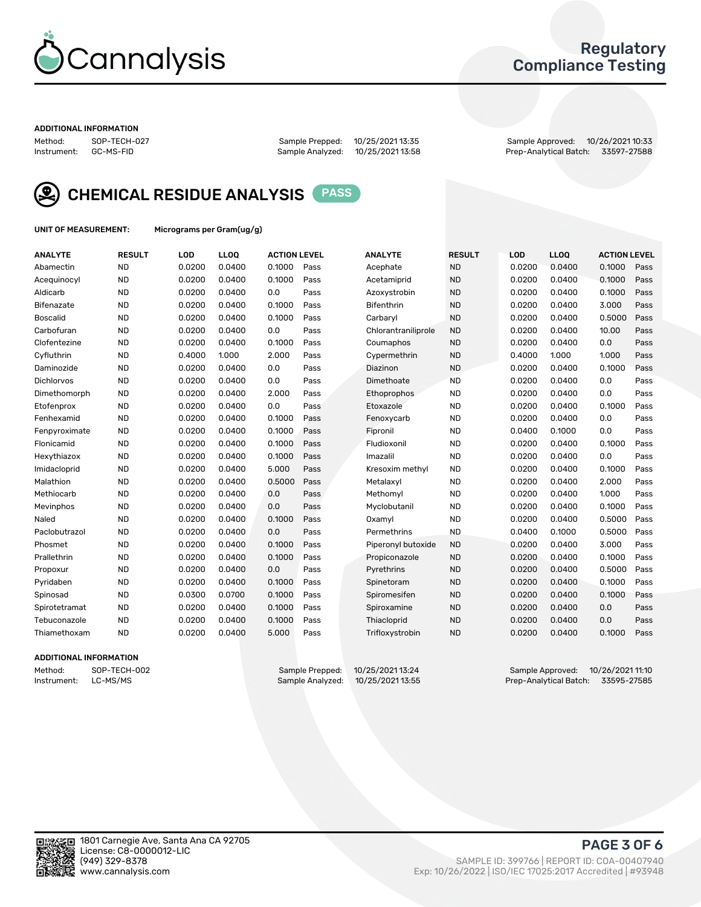

## Regulatory Compliance Testing

#### ADDITIONAL INFORMATION

Method: SOP-TECH-027 Sample Prepped: 10/25/2021 13:35 Sample Approved: 10/26/2021 10:33 Prep-Analytical Batch: 33597-27588



CHEMICAL RESIDUE ANALYSIS PASS

UNIT OF MEASUREMENT: Micrograms per Gram(ug/g)

| <b>ANALYTE</b>  | <b>RESULT</b> | LOD    | LL <sub>OO</sub> | <b>ACTION LEVEL</b> |      | <b>ANALYTE</b>      | <b>RESULT</b> | LOD    | <b>LLOQ</b> | <b>ACTION LEVEL</b> |      |
|-----------------|---------------|--------|------------------|---------------------|------|---------------------|---------------|--------|-------------|---------------------|------|
| Abamectin       | <b>ND</b>     | 0.0200 | 0.0400           | 0.1000              | Pass | Acephate            | <b>ND</b>     | 0.0200 | 0.0400      | 0.1000              | Pass |
| Acequinocyl     | <b>ND</b>     | 0.0200 | 0.0400           | 0.1000              | Pass | Acetamiprid         | <b>ND</b>     | 0.0200 | 0.0400      | 0.1000              | Pass |
| Aldicarb        | <b>ND</b>     | 0.0200 | 0.0400           | 0.0                 | Pass | Azoxystrobin        | <b>ND</b>     | 0.0200 | 0.0400      | 0.1000              | Pass |
| Bifenazate      | <b>ND</b>     | 0.0200 | 0.0400           | 0.1000              | Pass | <b>Bifenthrin</b>   | <b>ND</b>     | 0.0200 | 0.0400      | 3.000               | Pass |
| <b>Boscalid</b> | <b>ND</b>     | 0.0200 | 0.0400           | 0.1000              | Pass | Carbarvl            | <b>ND</b>     | 0.0200 | 0.0400      | 0.5000              | Pass |
| Carbofuran      | <b>ND</b>     | 0.0200 | 0.0400           | 0.0                 | Pass | Chlorantraniliprole | <b>ND</b>     | 0.0200 | 0.0400      | 10.00               | Pass |
| Clofentezine    | <b>ND</b>     | 0.0200 | 0.0400           | 0.1000              | Pass | Coumaphos           | <b>ND</b>     | 0.0200 | 0.0400      | 0.0                 | Pass |
| Cyfluthrin      | <b>ND</b>     | 0.4000 | 1.000            | 2.000               | Pass | Cypermethrin        | <b>ND</b>     | 0.4000 | 1.000       | 1.000               | Pass |
| Daminozide      | <b>ND</b>     | 0.0200 | 0.0400           | 0.0                 | Pass | Diazinon            | <b>ND</b>     | 0.0200 | 0.0400      | 0.1000              | Pass |
| Dichlorvos      | <b>ND</b>     | 0.0200 | 0.0400           | 0.0                 | Pass | Dimethoate          | <b>ND</b>     | 0.0200 | 0.0400      | 0.0                 | Pass |
| Dimethomorph    | <b>ND</b>     | 0.0200 | 0.0400           | 2.000               | Pass | Ethoprophos         | <b>ND</b>     | 0.0200 | 0.0400      | 0.0                 | Pass |
| Etofenprox      | <b>ND</b>     | 0.0200 | 0.0400           | 0.0                 | Pass | Etoxazole           | <b>ND</b>     | 0.0200 | 0.0400      | 0.1000              | Pass |
| Fenhexamid      | <b>ND</b>     | 0.0200 | 0.0400           | 0.1000              | Pass | Fenoxycarb          | <b>ND</b>     | 0.0200 | 0.0400      | 0.0                 | Pass |
| Fenpyroximate   | <b>ND</b>     | 0.0200 | 0.0400           | 0.1000              | Pass | Fipronil            | <b>ND</b>     | 0.0400 | 0.1000      | 0.0                 | Pass |
| Flonicamid      | <b>ND</b>     | 0.0200 | 0.0400           | 0.1000              | Pass | Fludioxonil         | <b>ND</b>     | 0.0200 | 0.0400      | 0.1000              | Pass |
| Hexythiazox     | <b>ND</b>     | 0.0200 | 0.0400           | 0.1000              | Pass | Imazalil            | <b>ND</b>     | 0.0200 | 0.0400      | 0.0                 | Pass |
| Imidacloprid    | <b>ND</b>     | 0.0200 | 0.0400           | 5.000               | Pass | Kresoxim methyl     | <b>ND</b>     | 0.0200 | 0.0400      | 0.1000              | Pass |
| Malathion       | <b>ND</b>     | 0.0200 | 0.0400           | 0.5000              | Pass | Metalaxyl           | <b>ND</b>     | 0.0200 | 0.0400      | 2.000               | Pass |
| Methiocarb      | <b>ND</b>     | 0.0200 | 0.0400           | 0.0                 | Pass | Methomyl            | <b>ND</b>     | 0.0200 | 0.0400      | 1.000               | Pass |
| Mevinphos       | <b>ND</b>     | 0.0200 | 0.0400           | 0.0                 | Pass | Myclobutanil        | <b>ND</b>     | 0.0200 | 0.0400      | 0.1000              | Pass |
| Naled           | <b>ND</b>     | 0.0200 | 0.0400           | 0.1000              | Pass | Oxamyl              | <b>ND</b>     | 0.0200 | 0.0400      | 0.5000              | Pass |
| Paclobutrazol   | <b>ND</b>     | 0.0200 | 0.0400           | 0.0                 | Pass | Permethrins         | <b>ND</b>     | 0.0400 | 0.1000      | 0.5000              | Pass |
| Phosmet         | <b>ND</b>     | 0.0200 | 0.0400           | 0.1000              | Pass | Piperonyl butoxide  | <b>ND</b>     | 0.0200 | 0.0400      | 3.000               | Pass |
| Prallethrin     | <b>ND</b>     | 0.0200 | 0.0400           | 0.1000              | Pass | Propiconazole       | <b>ND</b>     | 0.0200 | 0.0400      | 0.1000              | Pass |
| Propoxur        | <b>ND</b>     | 0.0200 | 0.0400           | 0.0                 | Pass | Pyrethrins          | <b>ND</b>     | 0.0200 | 0.0400      | 0.5000              | Pass |
| Pyridaben       | <b>ND</b>     | 0.0200 | 0.0400           | 0.1000              | Pass | Spinetoram          | <b>ND</b>     | 0.0200 | 0.0400      | 0.1000              | Pass |
| Spinosad        | <b>ND</b>     | 0.0300 | 0.0700           | 0.1000              | Pass | Spiromesifen        | <b>ND</b>     | 0.0200 | 0.0400      | 0.1000              | Pass |
| Spirotetramat   | <b>ND</b>     | 0.0200 | 0.0400           | 0.1000              | Pass | Spiroxamine         | <b>ND</b>     | 0.0200 | 0.0400      | 0.0                 | Pass |
| Tebuconazole    | <b>ND</b>     | 0.0200 | 0.0400           | 0.1000              | Pass | Thiacloprid         | <b>ND</b>     | 0.0200 | 0.0400      | 0.0                 | Pass |
| Thiamethoxam    | <b>ND</b>     | 0.0200 | 0.0400           | 5.000               | Pass | Trifloxystrobin     | <b>ND</b>     | 0.0200 | 0.0400      | 0.1000              | Pass |

#### ADDITIONAL INFORMATION

Method: SOP-TECH-002 Sample Prepped: 10/25/202113:24 Sample Approved: 10/26/202111:10<br>Instrument: LC-MS/MS Sample Analyzed: 10/25/202113:55 Prep-Analytical Batch: 33595-27585 Prep-Analytical Batch: 33595-27585

PAGE 3 OF 6

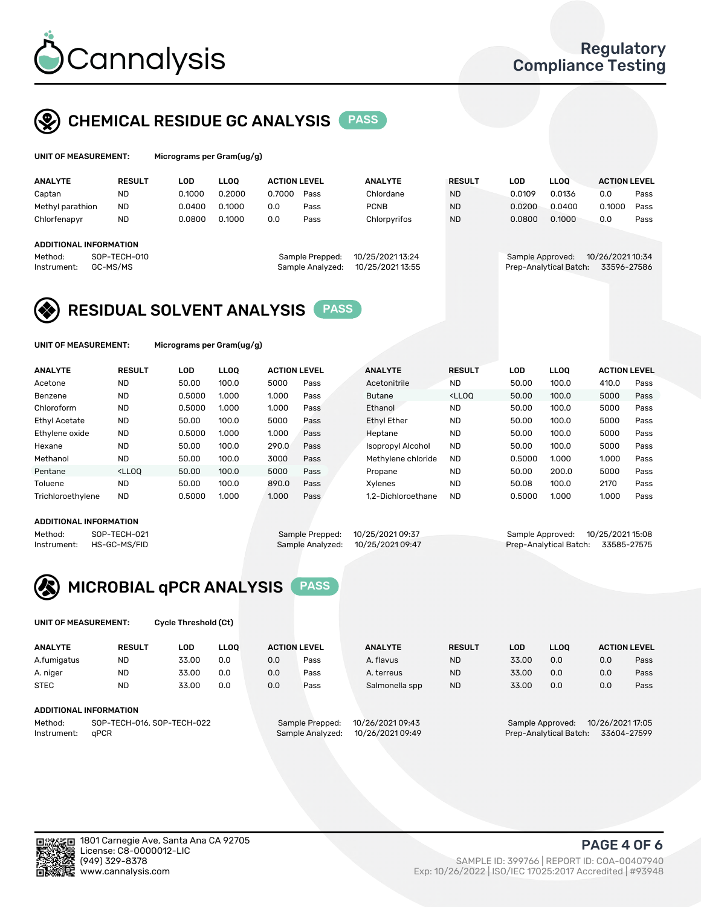

## CHEMICAL RESIDUE GC ANALYSIS PASS

| UNIT OF MEASUREMENT: | м |
|----------------------|---|
|----------------------|---|

licrograms per Gram(ug/g)

| <b>ANALYTE</b>                | <b>RESULT</b> | LOD    | <b>LLOO</b> | <b>ACTION LEVEL</b> |                  | <b>ANALYTE</b>   | <b>RESULT</b> | LOD                    | <b>LLOO</b> | <b>ACTION LEVEL</b> |      |
|-------------------------------|---------------|--------|-------------|---------------------|------------------|------------------|---------------|------------------------|-------------|---------------------|------|
| Captan                        | <b>ND</b>     | 0.1000 | 0.2000      | 0.7000              | Pass             | Chlordane        | <b>ND</b>     | 0.0109                 | 0.0136      | 0.0                 | Pass |
| Methyl parathion              | <b>ND</b>     | 0.0400 | 0.1000      | 0.0                 | Pass             | <b>PCNB</b>      | <b>ND</b>     | 0.0200                 | 0.0400      | 0.1000              | Pass |
| Chlorfenapyr                  | <b>ND</b>     | 0.0800 | 0.1000      | 0.0                 | Pass             | Chlorpyrifos     | <b>ND</b>     | 0.0800                 | 0.1000      | 0.0                 | Pass |
|                               |               |        |             |                     |                  |                  |               |                        |             |                     |      |
| <b>ADDITIONAL INFORMATION</b> |               |        |             |                     |                  |                  |               |                        |             |                     |      |
| Method:                       | SOP-TECH-010  |        |             |                     | Sample Prepped:  | 10/25/2021 13:24 |               | Sample Approved:       |             | 10/26/2021 10:34    |      |
| Instrument:                   | GC-MS/MS      |        |             |                     | Sample Analyzed: | 10/25/2021 13:55 |               | Prep-Analytical Batch: |             | 33596-27586         |      |
|                               |               |        |             |                     |                  |                  |               |                        |             |                     |      |

## RESIDUAL SOLVENT ANALYSIS PASS

UNIT OF MEASUREMENT: Micrograms per Gram(ug/g)

| <b>ANALYTE</b>       | <b>RESULT</b>                                                                                                                                                       | LOD    | <b>LLOO</b> | <b>ACTION LEVEL</b> |      | <b>ANALYTE</b>           | <b>RESULT</b>                                                               | LOD    | <b>LLOO</b> | <b>ACTION LEVEL</b> |      |
|----------------------|---------------------------------------------------------------------------------------------------------------------------------------------------------------------|--------|-------------|---------------------|------|--------------------------|-----------------------------------------------------------------------------|--------|-------------|---------------------|------|
| Acetone              | <b>ND</b>                                                                                                                                                           | 50.00  | 100.0       | 5000                | Pass | Acetonitrile             | <b>ND</b>                                                                   | 50.00  | 100.0       | 410.0               | Pass |
| Benzene              | <b>ND</b>                                                                                                                                                           | 0.5000 | 1.000       | 1.000               | Pass | <b>Butane</b>            | <lloo< td=""><td>50.00</td><td>100.0</td><td>5000</td><td>Pass</td></lloo<> | 50.00  | 100.0       | 5000                | Pass |
| Chloroform           | <b>ND</b>                                                                                                                                                           | 0.5000 | 1.000       | 1.000               | Pass | Ethanol                  | <b>ND</b>                                                                   | 50.00  | 100.0       | 5000                | Pass |
| <b>Ethyl Acetate</b> | <b>ND</b>                                                                                                                                                           | 50.00  | 100.0       | 5000                | Pass | Ethyl Ether              | <b>ND</b>                                                                   | 50.00  | 100.0       | 5000                | Pass |
| Ethylene oxide       | <b>ND</b>                                                                                                                                                           | 0.5000 | 1.000       | 1.000               | Pass | Heptane                  | <b>ND</b>                                                                   | 50.00  | 100.0       | 5000                | Pass |
| Hexane               | <b>ND</b>                                                                                                                                                           | 50.00  | 100.0       | 290.0               | Pass | <b>Isopropyl Alcohol</b> | <b>ND</b>                                                                   | 50.00  | 100.0       | 5000                | Pass |
| Methanol             | <b>ND</b>                                                                                                                                                           | 50.00  | 100.0       | 3000                | Pass | Methylene chloride       | <b>ND</b>                                                                   | 0.5000 | 1.000       | 1.000               | Pass |
| Pentane              | <lloo< td=""><td>50.00</td><td>100.0</td><td>5000</td><td>Pass</td><td>Propane</td><td><b>ND</b></td><td>50.00</td><td>200.0</td><td>5000</td><td>Pass</td></lloo<> | 50.00  | 100.0       | 5000                | Pass | Propane                  | <b>ND</b>                                                                   | 50.00  | 200.0       | 5000                | Pass |
| Toluene              | <b>ND</b>                                                                                                                                                           | 50.00  | 100.0       | 890.0               | Pass | Xvlenes                  | <b>ND</b>                                                                   | 50.08  | 100.0       | 2170                | Pass |
| Trichloroethylene    | <b>ND</b>                                                                                                                                                           | 0.5000 | 1.000       | 1.000               | Pass | 1.2-Dichloroethane       | <b>ND</b>                                                                   | 0.5000 | 1.000       | 1.000               | Pass |

#### ADDITIONAL INFORMATION

Method: SOP-TECH-021 Sample Prepped: 10/25/2021 09:37 Sample Approved: 10/25/2021 15:08<br>Instrument: HS-GC-MS/FID Sample Analyzed: 10/25/2021 09:47 Prep-Analytical Batch: 33585-27575

Prep-Analytical Batch: 33585-27575



UNIT OF MEASUREMENT: Cycle Threshold (Ct)

| <b>ANALYTE</b>         | <b>RESULT</b>              | LOD   | <b>LLOO</b> |                  | <b>ACTION LEVEL</b> | <b>ANALYTE</b>   | <b>RESULT</b> | <b>LOD</b>             | <b>LLOO</b>      |                  | <b>ACTION LEVEL</b> |
|------------------------|----------------------------|-------|-------------|------------------|---------------------|------------------|---------------|------------------------|------------------|------------------|---------------------|
| A.fumigatus            | <b>ND</b>                  | 33.00 | 0.0         | 0.0              | Pass                | A. flavus        | <b>ND</b>     | 33.00                  | 0.0              | 0.0              | Pass                |
| A. niger               | <b>ND</b>                  | 33.00 | 0.0         | 0.0              | Pass                | A. terreus       | <b>ND</b>     | 33.00                  | 0.0              | 0.0              | Pass                |
| <b>STEC</b>            | <b>ND</b>                  | 33.00 | 0.0         | 0.0              | Pass                | Salmonella spp   | <b>ND</b>     | 33.00                  | 0.0              | 0.0              | Pass                |
| ADDITIONAL INFORMATION |                            |       |             |                  |                     |                  |               |                        |                  |                  |                     |
| Method:                | SOP-TECH-016, SOP-TECH-022 |       |             |                  | Sample Prepped:     | 10/26/2021 09:43 |               |                        | Sample Approved: | 10/26/2021 17:05 |                     |
| aPCR<br>Instrument:    |                            |       |             | Sample Analyzed: | 10/26/2021 09:49    |                  |               | Prep-Analytical Batch: |                  | 33604-27599      |                     |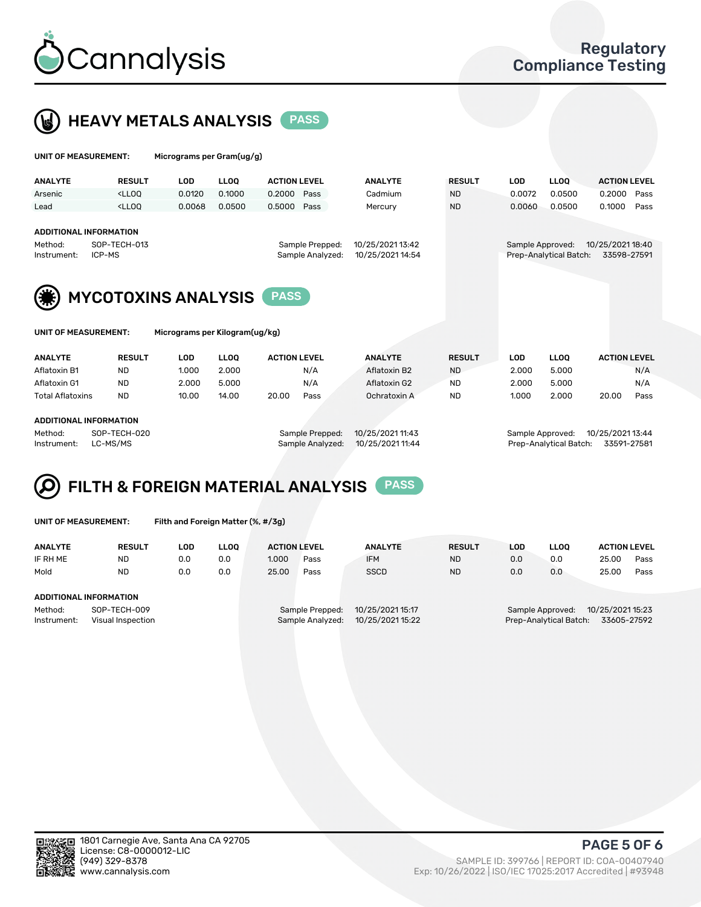

# HEAVY METALS ANALYSIS PASS

| UNIT OF MEASUREMENT:                             |                                                                                                                                                                             | Micrograms per Gram(ug/g)      |             |                     |                                     |                                      |               |                  |                        |                     |             |
|--------------------------------------------------|-----------------------------------------------------------------------------------------------------------------------------------------------------------------------------|--------------------------------|-------------|---------------------|-------------------------------------|--------------------------------------|---------------|------------------|------------------------|---------------------|-------------|
| <b>ANALYTE</b>                                   | <b>RESULT</b>                                                                                                                                                               | <b>LOD</b>                     | <b>LLOQ</b> | <b>ACTION LEVEL</b> |                                     | <b>ANALYTE</b>                       | <b>RESULT</b> | <b>LOD</b>       | <b>LLOQ</b>            | <b>ACTION LEVEL</b> |             |
| Arsenic                                          | <lloo< td=""><td>0.0120</td><td>0.1000</td><td>0.2000</td><td>Pass</td><td>Cadmium</td><td><b>ND</b></td><td>0.0072</td><td>0.0500</td><td>0.2000</td><td>Pass</td></lloo<> | 0.0120                         | 0.1000      | 0.2000              | Pass                                | Cadmium                              | <b>ND</b>     | 0.0072           | 0.0500                 | 0.2000              | Pass        |
| Lead                                             | <lloq< th=""><th>0.0068</th><th>0.0500</th><th>0.5000</th><th>Pass</th><th>Mercury</th><th><b>ND</b></th><th>0.0060</th><th>0.0500</th><th>0.1000</th><th>Pass</th></lloq<> | 0.0068                         | 0.0500      | 0.5000              | Pass                                | Mercury                              | <b>ND</b>     | 0.0060           | 0.0500                 | 0.1000              | Pass        |
| ADDITIONAL INFORMATION<br>Method:<br>Instrument: | SOP-TECH-013<br>ICP-MS                                                                                                                                                      |                                |             |                     | Sample Prepped:<br>Sample Analyzed: | 10/25/2021 13:42<br>10/25/2021 14:54 |               | Sample Approved: | Prep-Analytical Batch: | 10/25/2021 18:40    | 33598-27591 |
|                                                  | <b>MYCOTOXINS ANALYSIS</b><br><b>PASS</b>                                                                                                                                   |                                |             |                     |                                     |                                      |               |                  |                        |                     |             |
| UNIT OF MEASUREMENT:                             |                                                                                                                                                                             | Micrograms per Kilogram(ug/kg) |             |                     |                                     |                                      |               |                  |                        |                     |             |
| <b>ANALYTE</b>                                   | <b>RESULT</b>                                                                                                                                                               | <b>LOD</b>                     | <b>LLOO</b> | <b>ACTION LEVEL</b> |                                     | <b>ANALYTE</b>                       | <b>RESULT</b> | <b>LOD</b>       | <b>LLOQ</b>            | <b>ACTION LEVEL</b> |             |
| Aflatoxin B1                                     | <b>ND</b>                                                                                                                                                                   | 1.000                          | 2.000       |                     | N/A                                 | Aflatoxin B2                         | <b>ND</b>     | 2.000            | 5.000                  |                     | N/A         |
| Aflatoxin G1                                     | <b>ND</b>                                                                                                                                                                   | 2.000                          | 5.000       |                     | N/A                                 | Aflatoxin G2                         | <b>ND</b>     | 2.000            | 5.000                  |                     | N/A         |
| <b>Total Aflatoxins</b>                          | <b>ND</b>                                                                                                                                                                   | 10.00                          | 14.00       | 20.00               | Pass                                | Ochratoxin A                         | <b>ND</b>     | 1.000            | 2.000                  | 20.00               | Pass        |

#### ADDITIONAL INFORMATION

Method: SOP-TECH-020 Sample Prepped: 10/25/2021 11:43 Sample Approved: 10/25/2021 13:44 Instrument: LC-MS/MS Sample Analyzed: 10/25/2021 11:44 Prep-Analytical Batch: 33591-27581

# FILTH & FOREIGN MATERIAL ANALYSIS PASS

UNIT OF MEASUREMENT: Filth and Foreign Matter (%, #/3g)

| <b>ANALYTE</b>                                              | <b>RESULT</b> | LOD | <b>LLOO</b> | <b>ACTION LEVEL</b>                                                         |      | <b>ANALYTE</b> | <b>RESULT</b> | LOD                                                                           | <b>LLOO</b> | <b>ACTION LEVEL</b> |      |
|-------------------------------------------------------------|---------------|-----|-------------|-----------------------------------------------------------------------------|------|----------------|---------------|-------------------------------------------------------------------------------|-------------|---------------------|------|
| IF RH ME                                                    | <b>ND</b>     | 0.0 | 0.0         | 1.000                                                                       | Pass | <b>IFM</b>     | <b>ND</b>     | 0.0                                                                           | 0.0         | 25.00               | Pass |
| Mold                                                        | <b>ND</b>     | 0.0 | 0.0         | 25.00                                                                       | Pass | <b>SSCD</b>    | <b>ND</b>     | 0.0                                                                           | 0.0         | 25.00               | Pass |
| ADDITIONAL INFORMATION                                      |               |     |             |                                                                             |      |                |               |                                                                               |             |                     |      |
| SOP-TECH-009<br>Method:<br>Instrument:<br>Visual Inspection |               |     |             | 10/25/2021 15:17<br>Sample Prepped:<br>10/25/2021 15:22<br>Sample Analyzed: |      |                |               | 10/25/2021 15:23<br>Sample Approved:<br>Prep-Analytical Batch:<br>33605-27592 |             |                     |      |



PAGE 5 OF 6